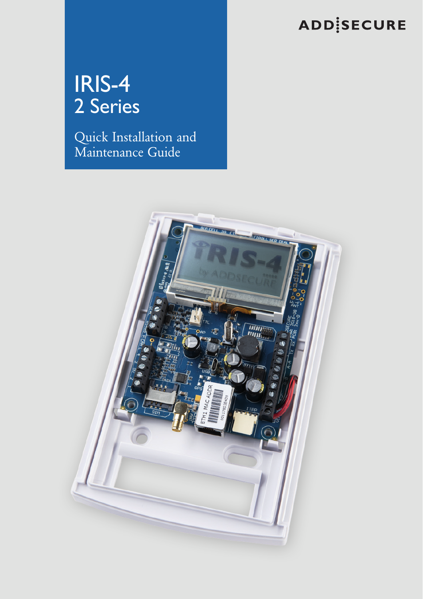# **ADDISECURE**

# IRIS-4 2 Series

Quick Installation and Maintenance Guide

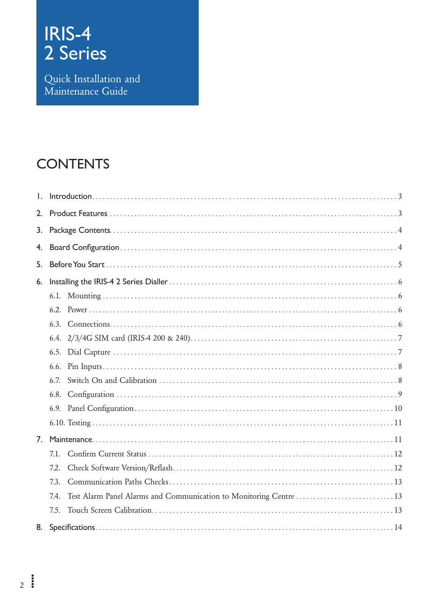# **IRIS-4<br>2 Series**

Quick Installation and<br>Maintenance Guide

### **CONTENTS**

| Ι. |      |  |  |  |
|----|------|--|--|--|
| 2. |      |  |  |  |
| 3. |      |  |  |  |
| 4. |      |  |  |  |
| 5. |      |  |  |  |
| 6. |      |  |  |  |
|    |      |  |  |  |
|    |      |  |  |  |
|    |      |  |  |  |
|    |      |  |  |  |
|    |      |  |  |  |
|    |      |  |  |  |
|    | 6.7. |  |  |  |
|    |      |  |  |  |
|    |      |  |  |  |
|    |      |  |  |  |
| 7. |      |  |  |  |
|    | 7.1. |  |  |  |
|    | 7.2  |  |  |  |
|    | 7.3  |  |  |  |
|    | 7.4. |  |  |  |
|    | 7.5. |  |  |  |
|    |      |  |  |  |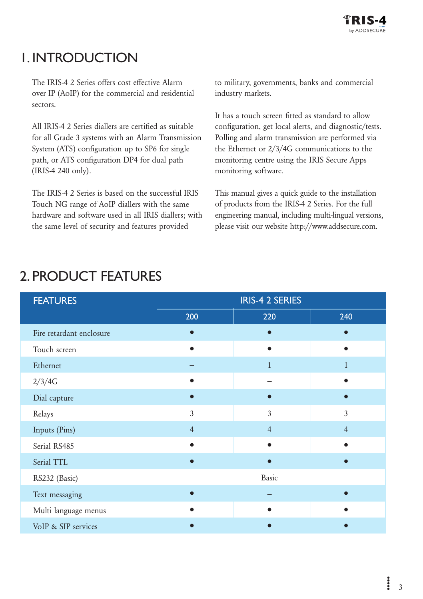### <span id="page-2-0"></span>1. Introduction

The IRIS-4 2 Series offers cost effective Alarm over IP (AoIP) for the commercial and residential sectors.

All IRIS-4 2 Series diallers are certified as suitable for all Grade 3 systems with an Alarm Transmission System (ATS) configuration up to SP6 for single path, or ATS configuration DP4 for dual path (IRIS-4 240 only).

The IRIS-4 2 Series is based on the successful IRIS Touch NG range of AoIP diallers with the same hardware and software used in all IRIS diallers; with the same level of security and features provided

to military, governments, banks and commercial industry markets.

It has a touch screen fitted as standard to allow configuration, get local alerts, and diagnostic/tests. Polling and alarm transmission are performed via the Ethernet or 2/3/4G communications to the monitoring centre using the IRIS Secure Apps monitoring software.

This manual gives a quick guide to the installation of products from the IRIS-4 2 Series. For the full engineering manual, including multi-lingual versions, please visit our website [http://www.addsecure.com.](http://www.addsecure.com)

| <b>FEATURES</b>          |                | <b>IRIS-4 2 SERIES</b> |                |  |
|--------------------------|----------------|------------------------|----------------|--|
|                          | 200            | 220                    | 240            |  |
| Fire retardant enclosure |                |                        |                |  |
| Touch screen             |                |                        |                |  |
| Ethernet                 |                | $\mathbf{1}$           | $\mathbf{1}$   |  |
| 2/3/4G                   |                |                        |                |  |
| Dial capture             |                |                        |                |  |
| Relays                   | $\overline{3}$ | 3                      | $\overline{3}$ |  |
| Inputs (Pins)            | $\overline{4}$ | $\overline{4}$         | $\overline{4}$ |  |
| Serial RS485             |                |                        |                |  |
| Serial TTL               |                |                        |                |  |
| RS232 (Basic)            |                | Basic                  |                |  |
| Text messaging           |                |                        |                |  |
| Multi language menus     |                |                        |                |  |
| VoIP & SIP services      |                |                        |                |  |

# 2. Product Features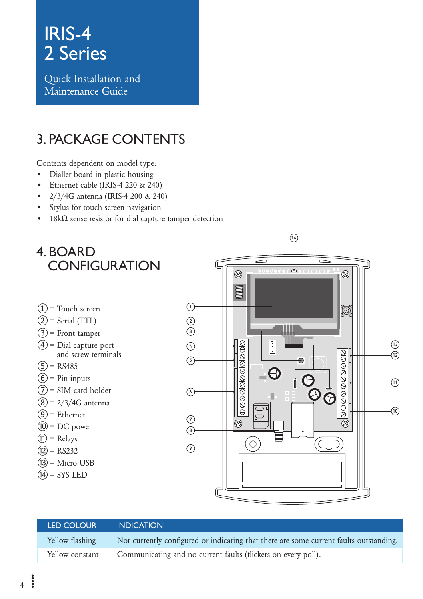<span id="page-3-0"></span>Quick Installation and Maintenance Guide

### 3. Package Contents

Contents dependent on model type:

- • Dialler board in plastic housing
- • Ethernet cable (IRIS-4 220 & 240)
- • 2/3/4G antenna (IRIS-4 200 & 240)
- Stylus for touch screen navigation
- 18kΩ sense resistor for dial capture tamper detection



#### LED Colour Indication Yellow flashing Not currently configured or indicating that there are some current faults outstanding. Yellow constant Communicating and no current faults (flickers on every poll).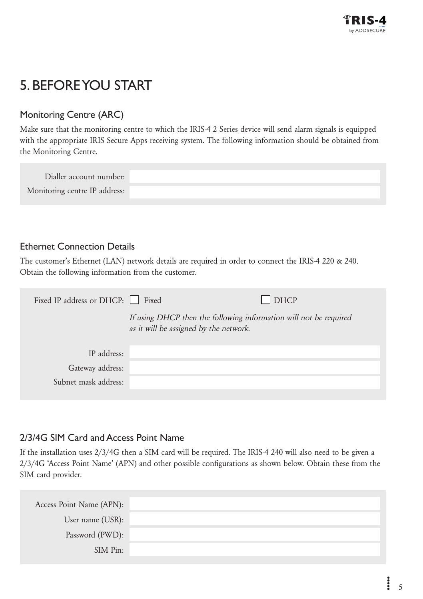## <span id="page-4-0"></span>5. Before You Start

#### Monitoring Centre (ARC)

Make sure that the monitoring centre to which the IRIS-4 2 Series device will send alarm signals is equipped with the appropriate IRIS Secure Apps receiving system. The following information should be obtained from the Monitoring Centre.

| Dialler account number:       |  |
|-------------------------------|--|
| Monitoring centre IP address: |  |

#### Ethernet Connection Details

The customer's Ethernet (LAN) network details are required in order to connect the IRIS-4 220 & 240. Obtain the following information from the customer.

| Fixed IP address or DHCP: Fixed |                                                                                                             | <b>DHCP</b> |
|---------------------------------|-------------------------------------------------------------------------------------------------------------|-------------|
|                                 | If using DHCP then the following information will not be required<br>as it will be assigned by the network. |             |
|                                 |                                                                                                             |             |
| IP address:                     |                                                                                                             |             |
| Gateway address:                |                                                                                                             |             |
| Subnet mask address:            |                                                                                                             |             |
|                                 |                                                                                                             |             |

#### 2/3/4G SIM Card and Access Point Name

If the installation uses 2/3/4G then a SIM card will be required. The IRIS-4 240 will also need to be given a 2/3/4G 'Access Point Name' (APN) and other possible configurations as shown below. Obtain these from the SIM card provider.

| Access Point Name (APN): |  |
|--------------------------|--|
| User name (USR):         |  |
| Password (PWD):          |  |
| SIM Pin:                 |  |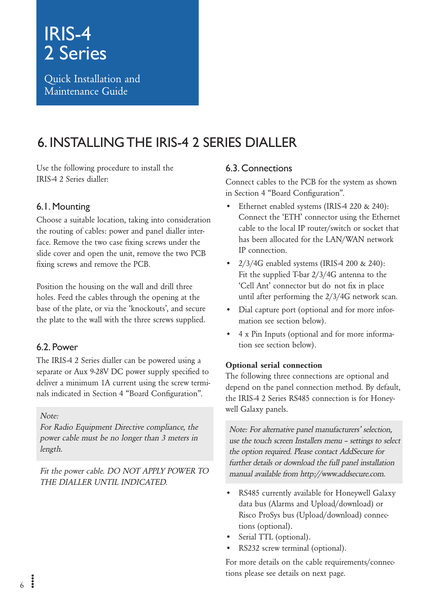<span id="page-5-0"></span>Quick Installation and Maintenance Guide

### 6. Installing the IRIS-4 2 Series Dialler

Use the following procedure to install the IRIS-4 2 Series dialler:

#### 6.1. Mounting

Choose a suitable location, taking into consideration the routing of cables: power and panel dialler interface. Remove the two case fixing screws under the slide cover and open the unit, remove the two PCB fixing screws and remove the PCB.

Position the housing on the wall and drill three holes. Feed the cables through the opening at the base of the plate, or via the 'knockouts', and secure the plate to the wall with the three screws supplied.

#### 6.2. Power

The IRIS-4 2 Series dialler can be powered using a separate or Aux 9-28V DC power supply specified to deliver a minimum 1A current using the screw terminals indicated in Section 4 "Board Configuration".

Note:

For Radio Equipment Directive compliance, the power cable must be no longer than 3 meters in length.

Fit the power cable. DO NOT APPLY POWER TO THE DIALLER UNTIL INDICATED.

#### 6.3. Connections

Connect cables to the PCB for the system as shown in Section 4 "Board Configuration".

- Ethernet enabled systems (IRIS-4 220 & 240): Connect the 'ETH' connector using the Ethernet cable to the local IP router/switch or socket that has been allocated for the LAN/WAN network IP connection.
- • 2/3/4G enabled systems (IRIS-4 200 & 240): Fit the supplied T-bar 2/3/4G antenna to the 'Cell Ant' connector but do not fix in place until after performing the 2/3/4G network scan.
- • Dial capture port (optional and for more information see section below).
- • 4 x Pin Inputs (optional and for more information see section below).

#### Optional serial connection

The following three connections are optional and depend on the panel connection method. By default, the IRIS-4 2 Series RS485 connection is for Honeywell Galaxy panels.

Note: For alternative panel manufacturers' selection, use the touch screen Installers menu – settings to select the option required. Please contact AddSecure for further details or download the full panel installation manual available from [http://www.addsecure.com.](http://www.addsecure.com)

- RS485 currently available for Honeywell Galaxy data bus (Alarms and Upload/download) or Risco ProSys bus (Upload/download) connections (optional).
- Serial TTL (optional).
- RS232 screw terminal (optional).

For more details on the cable requirements/connections please see details on next page.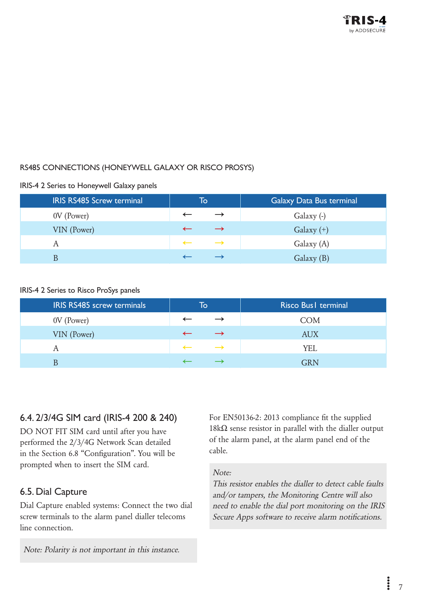#### <span id="page-6-0"></span>RS485 connections (Honeywell Galaxy or Risco ProSys)

#### IRIS-4 2 Series to Honeywell Galaxy panels

| <b>IRIS RS485 Screw terminal</b> | To           |               | Galaxy Data Bus terminal |  |
|----------------------------------|--------------|---------------|--------------------------|--|
| 0V (Power)                       |              | $\rightarrow$ | Galaxy (-)               |  |
| VIN (Power)                      |              |               | Galaxy $(+)$             |  |
|                                  | $\leftarrow$ | $\rightarrow$ | Galaxy (A)               |  |
|                                  |              |               | Galaxy (B)               |  |

#### IRIS-4 2 Series to Risco ProSys panels

| <b>IRIS RS485 screw terminals</b> | To |               | Risco Bus I terminal |  |
|-----------------------------------|----|---------------|----------------------|--|
| 0V (Power)                        |    |               | COM                  |  |
| VIN (Power)                       |    |               | <b>AUX</b>           |  |
|                                   |    | $\rightarrow$ | YEL                  |  |
|                                   |    |               | <b>GRN</b>           |  |

#### 6.4. 2/3/4G SIM card (IRIS-4 200 & 240)

DO NOT FIT SIM card until after you have performed the 2/3/4G Network Scan detailed in the Section 6.8 "Configuration". You will be prompted when to insert the SIM card.

#### 6.5. Dial Capture

Dial Capture enabled systems: Connect the two dial screw terminals to the alarm panel dialler telecoms line connection.

Note: Polarity is not important in this instance.

For EN50136-2: 2013 compliance fit the supplied 18kΩ sense resistor in parallel with the dialler output of the alarm panel, at the alarm panel end of the cable.

#### Note:

This resistor enables the dialler to detect cable faults and/or tampers, the Monitoring Centre will also need to enable the dial port monitoring on the IRIS Secure Apps software to receive alarm notifications.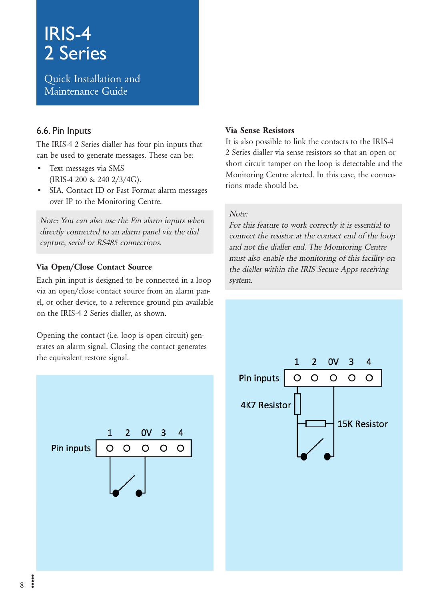<span id="page-7-0"></span>Quick Installation and Maintenance Guide

#### 6.6. Pin Inputs

The IRIS-4 2 Series dialler has four pin inputs that can be used to generate messages. These can be:

- Text messages via SMS (IRIS-4 200 & 240 2/3/4G).
- • SIA, Contact ID or Fast Format alarm messages over IP to the Monitoring Centre.

Note: You can also use the Pin alarm inputs when directly connected to an alarm panel via the dial capture, serial or RS485 connections.

#### Via Open/Close Contact Source

Each pin input is designed to be connected in a loop via an open/close contact source from an alarm panel, or other device, to a reference ground pin available on the IRIS-4 2 Series dialler, as shown.

Opening the contact (i.e. loop is open circuit) generates an alarm signal. Closing the contact generates the equivalent restore signal.



#### Via Sense Resistors

It is also possible to link the contacts to the IRIS-4 2 Series dialler via sense resistors so that an open or short circuit tamper on the loop is detectable and the Monitoring Centre alerted. In this case, the connections made should be.

#### Note:

For this feature to work correctly it is essential to connect the resistor at the contact end of the loop and not the dialler end. The Monitoring Centre must also enable the monitoring of this facility on the dialler within the IRIS Secure Apps receiving system.

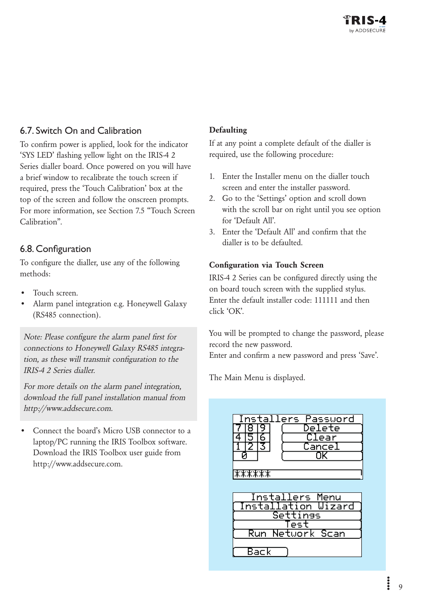#### <span id="page-8-0"></span>6.7. Switch On and Calibration

To confirm power is applied, look for the indicator 'SYS LED' flashing yellow light on the IRIS-4 2 Series dialler board. Once powered on you will have a brief window to recalibrate the touch screen if required, press the 'Touch Calibration' box at the top of the screen and follow the onscreen prompts. For more information, see Section 7.5 "Touch Screen Calibration".

#### 6.8. Configuration

To configure the dialler, use any of the following methods:

- Touch screen.
- Alarm panel integration e.g. Honeywell Galaxy (RS485 connection).

Note: Please configure the alarm panel first for connections to Honeywell Galaxy RS485 integration, as these will transmit configuration to the IRIS-4 2 Series dialler.

For more details on the alarm panel integration, download the full panel installation manual from http://www.addsecure.com.

Connect the board's Micro USB connector to a laptop/PC running the IRIS Toolbox software. Download the IRIS Toolbox user guide from [http://www.addsecure.com.](http://www.addsecure.com)

#### **Defaulting**

If at any point a complete default of the dialler is required, use the following procedure:

- 1. Enter the Installer menu on the dialler touch screen and enter the installer password.
- 2. Go to the 'Settings' option and scroll down with the scroll bar on right until you see option for 'Default All'.
- 3. Enter the 'Default All' and confirm that the dialler is to be defaulted.

#### Configuration via Touch Screen

IRIS-4 2 Series can be configured directly using the on board touch screen with the supplied stylus. Enter the default installer code: 111111 and then click 'OK'.

You will be prompted to change the password, please record the new password.

Enter and confirm a new password and press 'Save'.

The Main Menu is displayed.

| Installers Password<br>Delētē<br>Clear<br>Cance]                   |
|--------------------------------------------------------------------|
| ******<br>Installers Menu                                          |
| <b>Installation Wizard</b><br>Settings<br>'est<br>Run Network Scan |
| Back                                                               |

 $\ddot{\phantom{a}}$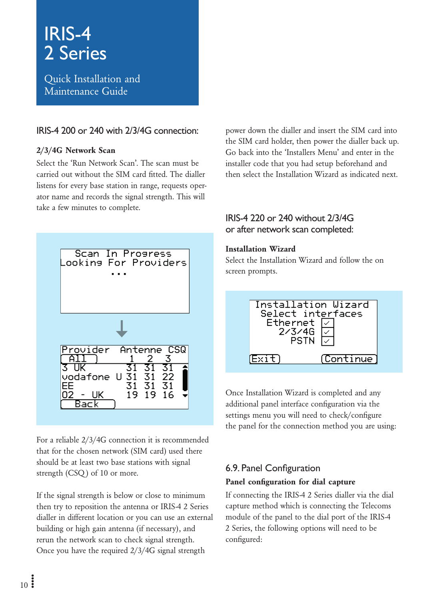<span id="page-9-0"></span>Quick Installation and Maintenance Guide

#### IRIS-4 200 or 240 with 2/3/4G connection:

#### 2/3/4G Network Scan

Select the 'Run Network Scan'. The scan must be carried out without the SIM card fitted. The dialler listens for every base station in range, requests operator name and records the signal strength. This will take a few minutes to complete.



For a reliable 2/3/4G connection it is recommended that for the chosen network (SIM card) used there should be at least two base stations with signal strength (CSQ ) of 10 or more.

If the signal strength is below or close to minimum then try to reposition the antenna or IRIS-4 2 Series dialler in different location or you can use an external building or high gain antenna (if necessary), and rerun the network scan to check signal strength. Once you have the required 2/3/4G signal strength

power down the dialler and insert the SIM card into the SIM card holder, then power the dialler back up. Go back into the 'Installers Menu' and enter in the installer code that you had setup beforehand and then select the Installation Wizard as indicated next.

#### IRIS-4 220 or 240 without 2/3/4G or after network scan completed:

#### Installation Wizard

Select the Installation Wizard and follow the on screen prompts.



Once Installation Wizard is completed and any additional panel interface configuration via the settings menu you will need to check/configure the panel for the connection method you are using:

#### 6.9. Panel Configuration Panel configuration for dial capture

If connecting the IRIS-4 2 Series dialler via the dial capture method which is connecting the Telecoms module of the panel to the dial port of the IRIS-4 2 Series, the following options will need to be configured: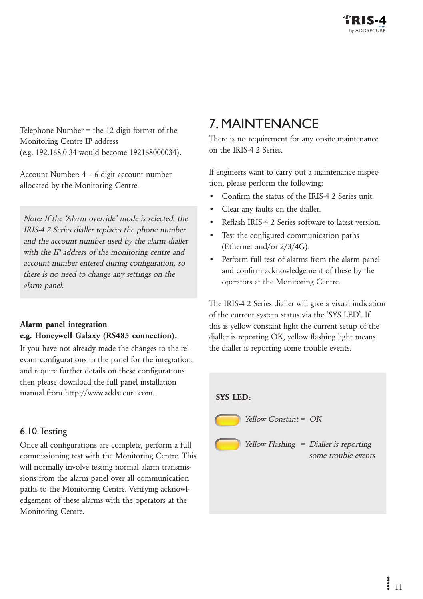<span id="page-10-0"></span>Telephone Number = the 12 digit format of the Monitoring Centre IP address (e.g. 192.168.0.34 would become 192168000034).

Account Number: 4 – 6 digit account number allocated by the Monitoring Centre.

Note: If the 'Alarm override' mode is selected, the IRIS-4 2 Series dialler replaces the phone number and the account number used by the alarm dialler with the IP address of the monitoring centre and account number entered during configuration, so there is no need to change any settings on the alarm panel.

#### Alarm panel integration e.g. Honeywell Galaxy (RS485 connection).

If you have not already made the changes to the relevant configurations in the panel for the integration, and require further details on these configurations then please download the full panel installation manual from http://www.addsecure.com.

#### 6.10. Testing

Once all configurations are complete, perform a full commissioning test with the Monitoring Centre. This will normally involve testing normal alarm transmissions from the alarm panel over all communication paths to the Monitoring Centre. Verifying acknowledgement of these alarms with the operators at the Monitoring Centre.

### 7. Maintenance

There is no requirement for any onsite maintenance on the IRIS-4 2 Series.

If engineers want to carry out a maintenance inspection, please perform the following:

- Confirm the status of the IRIS-4 2 Series unit.
- • Clear any faults on the dialler.
- Reflash IRIS-4.2 Series software to latest version.
- • Test the configured communication paths (Ethernet and/or 2/3/4G).
- • Perform full test of alarms from the alarm panel and confirm acknowledgement of these by the operators at the Monitoring Centre.

The IRIS-4 2 Series dialler will give a visual indication of the current system status via the 'SYS LED'. If this is yellow constant light the current setup of the dialler is reporting OK, yellow flashing light means the dialler is reporting some trouble events.

#### SYS LED:



Yellow Constant = OK

Yellow Flashing = Dialler is reporting some trouble events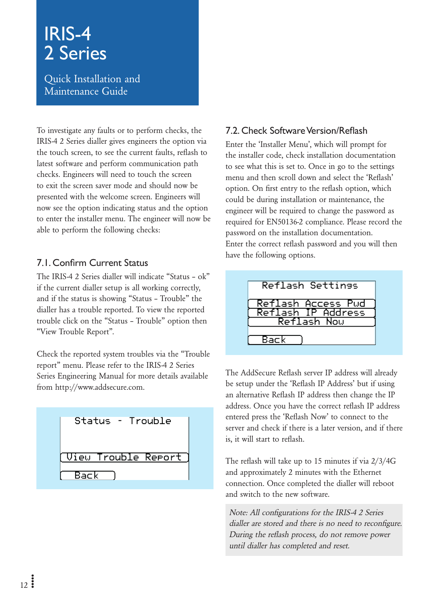<span id="page-11-0"></span>Quick Installation and Maintenance Guide

To investigate any faults or to perform checks, the IRIS-4 2 Series dialler gives engineers the option via the touch screen, to see the current faults, reflash to latest software and perform communication path checks. Engineers will need to touch the screen to exit the screen saver mode and should now be presented with the welcome screen. Engineers will now see the option indicating status and the option to enter the installer menu. The engineer will now be able to perform the following checks:

#### 7.1. Confirm Current Status

The IRIS-4 2 Series dialler will indicate "Status – ok" if the current dialler setup is all working correctly, and if the status is showing "Status – Trouble" the dialler has a trouble reported. To view the reported trouble click on the "Status – Trouble" option then "View Trouble Report".

Check the reported system troubles via the "Trouble report" menu. Please refer to the IRIS-4 2 Series Series Engineering Manual for more details available from [http://www.addsecure.com.](http://www.addsecure.com)



#### 7.2. Check Software Version/Reflash

Enter the 'Installer Menu', which will prompt for the installer code, check installation documentation to see what this is set to. Once in go to the settings menu and then scroll down and select the 'Reflash' option. On first entry to the reflash option, which could be during installation or maintenance, the engineer will be required to change the password as required for EN50136-2 compliance. Please record the password on the installation documentation. Enter the correct reflash password and you will then have the following options.



The AddSecure Reflash server IP address will already be setup under the 'Reflash IP Address' but if using an alternative Reflash IP address then change the IP address. Once you have the correct reflash IP address entered press the 'Reflash Now' to connect to the server and check if there is a later version, and if there is, it will start to reflash.

The reflash will take up to 15 minutes if via 2/3/4G and approximately 2 minutes with the Ethernet connection. Once completed the dialler will reboot and switch to the new software.

Note: All configurations for the IRIS-4 2 Series dialler are stored and there is no need to reconfigure. During the reflash process, do not remove power until dialler has completed and reset.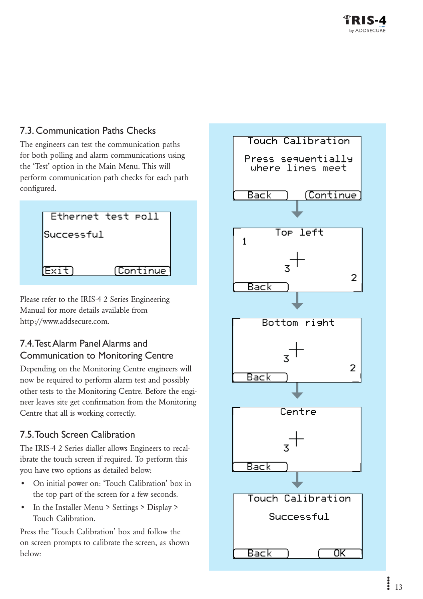#### <span id="page-12-0"></span>7.3. Communication Paths Checks

The engineers can test the communication paths for both polling and alarm communications using the 'Test' option in the Main Menu. This will perform communication path checks for each path configured.

| Ethernet test roll   |  |
|----------------------|--|
| Successful           |  |
|                      |  |
| (Continue)<br>(Exit) |  |

Please refer to the IRIS-4 2 Series Engineering Manual for more details available from [http://www.addsecure.com.](http://www.addsecure.com)

#### 7.4. Test Alarm Panel Alarms and Communication to Monitoring Centre

Depending on the Monitoring Centre engineers will now be required to perform alarm test and possibly other tests to the Monitoring Centre. Before the engineer leaves site get confirmation from the Monitoring Centre that all is working correctly.

#### 7.5. Touch Screen Calibration

The IRIS-4 2 Series dialler allows Engineers to recalibrate the touch screen if required. To perform this you have two options as detailed below:

- • On initial power on: 'Touch Calibration' box in the top part of the screen for a few seconds.
- In the Installer Menu > Settings > Display > Touch Calibration.

Press the 'Touch Calibration' box and follow the on screen prompts to calibrate the screen, as shown below:

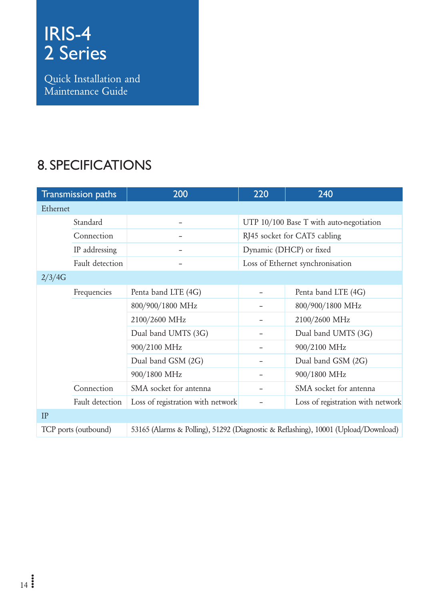<span id="page-13-0"></span>Quick Installation and Maintenance Guide

### 8. Specifications

|          | Transmission paths   | 200                               | 220                          | 240                                                                                |  |
|----------|----------------------|-----------------------------------|------------------------------|------------------------------------------------------------------------------------|--|
| Ethernet |                      |                                   |                              |                                                                                    |  |
|          | Standard             |                                   |                              | UTP 10/100 Base T with auto-negotiation                                            |  |
|          | Connection           |                                   | RJ45 socket for CAT5 cabling |                                                                                    |  |
|          | IP addressing        |                                   |                              | Dynamic (DHCP) or fixed                                                            |  |
|          | Fault detection      |                                   |                              | Loss of Ethernet synchronisation                                                   |  |
| 2/3/4G   |                      |                                   |                              |                                                                                    |  |
|          | Frequencies          | Penta band LTE (4G)               |                              | Penta band LTE (4G)                                                                |  |
|          |                      | 800/900/1800 MHz                  |                              | 800/900/1800 MHz                                                                   |  |
|          |                      | 2100/2600 MHz                     |                              | 2100/2600 MHz                                                                      |  |
|          |                      | Dual band UMTS (3G)               |                              | Dual band UMTS (3G)                                                                |  |
|          |                      | 900/2100 MHz                      |                              | 900/2100 MHz                                                                       |  |
|          |                      | Dual band GSM (2G)                |                              | Dual band GSM (2G)                                                                 |  |
|          |                      | 900/1800 MHz                      |                              | 900/1800 MHz                                                                       |  |
|          | Connection           | SMA socket for antenna            |                              | SMA socket for antenna                                                             |  |
|          | Fault detection      | Loss of registration with network |                              | Loss of registration with network                                                  |  |
| IP       |                      |                                   |                              |                                                                                    |  |
|          | TCP ports (outbound) |                                   |                              | 53165 (Alarms & Polling), 51292 (Diagnostic & Reflashing), 10001 (Upload/Download) |  |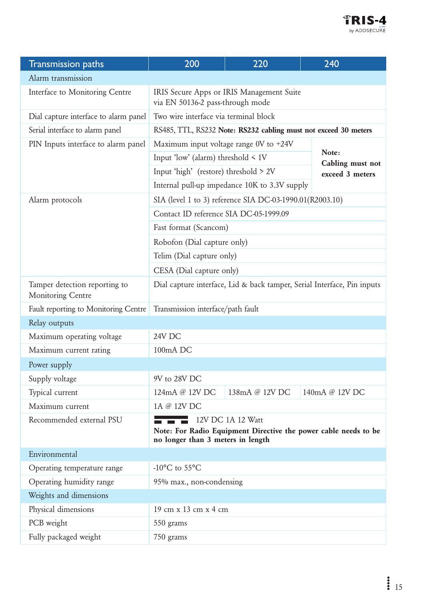

| <b>Transmission paths</b>                                 | 200                                                                                                                                      | 220                                                             | 240                       |  |
|-----------------------------------------------------------|------------------------------------------------------------------------------------------------------------------------------------------|-----------------------------------------------------------------|---------------------------|--|
| Alarm transmission                                        |                                                                                                                                          |                                                                 |                           |  |
| Interface to Monitoring Centre                            | IRIS Secure Apps or IRIS Management Suite<br>via EN 50136-2 pass-through mode                                                            |                                                                 |                           |  |
| Dial capture interface to alarm panel                     | Two wire interface via terminal block                                                                                                    |                                                                 |                           |  |
| Serial interface to alarm panel                           |                                                                                                                                          | RS485, TTL, RS232 Note: RS232 cabling must not exceed 30 meters |                           |  |
| PIN Inputs interface to alarm panel                       | Maximum input voltage range 0V to +24V                                                                                                   |                                                                 |                           |  |
|                                                           | Input 'low' (alarm) threshold $\leq 1$ V                                                                                                 |                                                                 | Note:<br>Cabling must not |  |
|                                                           | Input 'high' (restore) threshold > 2V                                                                                                    |                                                                 | exceed 3 meters           |  |
|                                                           |                                                                                                                                          | Internal pull-up impedance 10K to 3.3V supply                   |                           |  |
| Alarm protocols                                           |                                                                                                                                          | SIA (level 1 to 3) reference SIA DC-03-1990.01(R2003.10)        |                           |  |
|                                                           | Contact ID reference SIA DC-05-1999.09                                                                                                   |                                                                 |                           |  |
|                                                           | Fast format (Scancom)                                                                                                                    |                                                                 |                           |  |
|                                                           | Robofon (Dial capture only)                                                                                                              |                                                                 |                           |  |
|                                                           | Telim (Dial capture only)                                                                                                                |                                                                 |                           |  |
|                                                           | CESA (Dial capture only)                                                                                                                 |                                                                 |                           |  |
| Tamper detection reporting to<br><b>Monitoring Centre</b> | Dial capture interface, Lid & back tamper, Serial Interface, Pin inputs                                                                  |                                                                 |                           |  |
| Fault reporting to Monitoring Centre                      | Transmission interface/path fault                                                                                                        |                                                                 |                           |  |
| Relay outputs                                             |                                                                                                                                          |                                                                 |                           |  |
| Maximum operating voltage                                 | 24V DC                                                                                                                                   |                                                                 |                           |  |
| Maximum current rating                                    | 100mA DC                                                                                                                                 |                                                                 |                           |  |
| Power supply                                              |                                                                                                                                          |                                                                 |                           |  |
| Supply voltage                                            | 9V to 28V DC                                                                                                                             |                                                                 |                           |  |
| Typical current                                           | 124mA @ 12V DC                                                                                                                           | 138mA @ 12V DC                                                  | 140mA @ 12V DC            |  |
| Maximum current                                           | 1A @ 12V DC                                                                                                                              |                                                                 |                           |  |
| Recommended external PSU                                  | <u>a ma</u><br>12V DC 1A 12 Watt<br>Note: For Radio Equipment Directive the power cable needs to be<br>no longer than 3 meters in length |                                                                 |                           |  |
| Environmental                                             |                                                                                                                                          |                                                                 |                           |  |
| Operating temperature range                               | $-10^{\circ}$ C to 55 $^{\circ}$ C                                                                                                       |                                                                 |                           |  |
| Operating humidity range                                  | 95% max., non-condensing                                                                                                                 |                                                                 |                           |  |
| Weights and dimensions                                    |                                                                                                                                          |                                                                 |                           |  |
| Physical dimensions                                       | 19 cm x 13 cm x 4 cm                                                                                                                     |                                                                 |                           |  |
| PCB weight                                                | 550 grams                                                                                                                                |                                                                 |                           |  |
| Fully packaged weight                                     | 750 grams                                                                                                                                |                                                                 |                           |  |